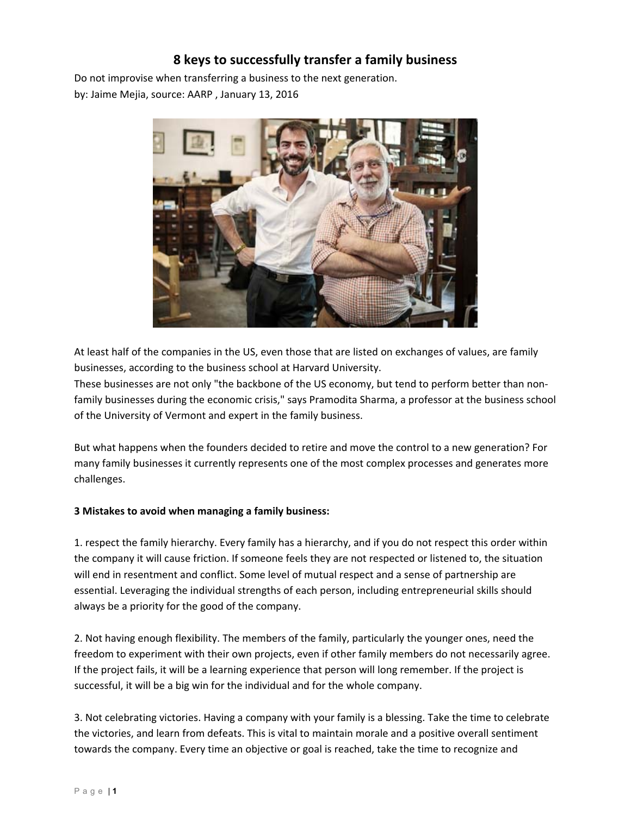## **8 keys to successfully transfer a family business**

Do not improvise when transferring a business to the next generation. by: Jaime Mejia, source: AARP , January 13, 2016



At least half of the companies in the US, even those that are listed on exchanges of values, are family businesses, according to the business school at Harvard University.

These businesses are not only "the backbone of the US economy, but tend to perform better than non‐ family businesses during the economic crisis," says Pramodita Sharma, a professor at the business school of the University of Vermont and expert in the family business.

But what happens when the founders decided to retire and move the control to a new generation? For many family businesses it currently represents one of the most complex processes and generates more challenges.

## **3 Mistakes to avoid when managing a family business:**

1. respect the family hierarchy. Every family has a hierarchy, and if you do not respect this order within the company it will cause friction. If someone feels they are not respected or listened to, the situation will end in resentment and conflict. Some level of mutual respect and a sense of partnership are essential. Leveraging the individual strengths of each person, including entrepreneurial skills should always be a priority for the good of the company.

2. Not having enough flexibility. The members of the family, particularly the younger ones, need the freedom to experiment with their own projects, even if other family members do not necessarily agree. If the project fails, it will be a learning experience that person will long remember. If the project is successful, it will be a big win for the individual and for the whole company.

3. Not celebrating victories. Having a company with your family is a blessing. Take the time to celebrate the victories, and learn from defeats. This is vital to maintain morale and a positive overall sentiment towards the company. Every time an objective or goal is reached, take the time to recognize and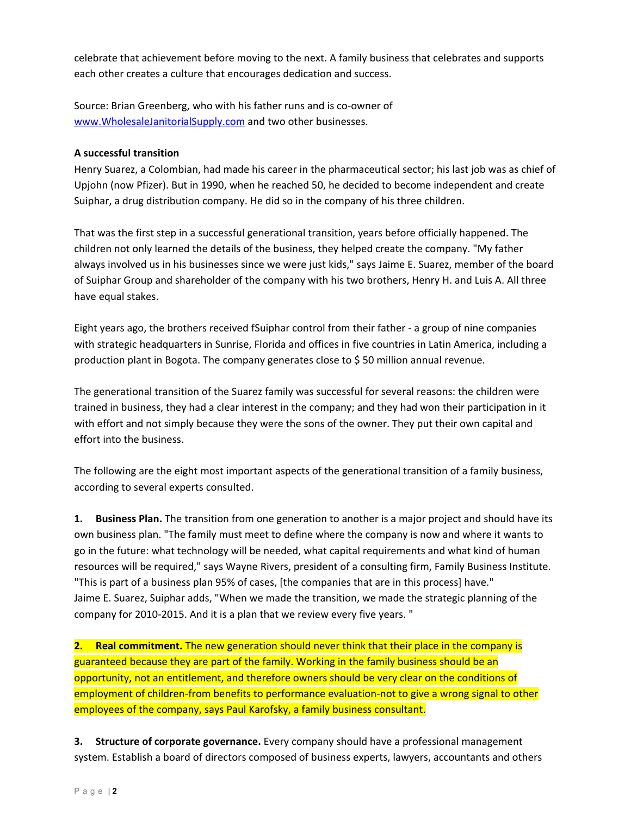celebrate that achievement before moving to the next. A family business that celebrates and supports each other creates a culture that encourages dedication and success.

Source: Brian Greenberg, who with his father runs and is co‐owner of www.WholesaleJanitorialSupply.com and two other businesses.

## **A successful transition**

Henry Suarez, a Colombian, had made his career in the pharmaceutical sector; his last job was as chief of Upjohn (now Pfizer). But in 1990, when he reached 50, he decided to become independent and create Suiphar, a drug distribution company. He did so in the company of his three children.

That was the first step in a successful generational transition, years before officially happened. The children not only learned the details of the business, they helped create the company. "My father always involved us in his businesses since we were just kids," says Jaime E. Suarez, member of the board of Suiphar Group and shareholder of the company with his two brothers, Henry H. and Luis A. All three have equal stakes.

Eight years ago, the brothers received fSuiphar control from their father ‐ a group of nine companies with strategic headquarters in Sunrise, Florida and offices in five countries in Latin America, including a production plant in Bogota. The company generates close to \$ 50 million annual revenue.

The generational transition of the Suarez family was successful for several reasons: the children were trained in business, they had a clear interest in the company; and they had won their participation in it with effort and not simply because they were the sons of the owner. They put their own capital and effort into the business.

The following are the eight most important aspects of the generational transition of a family business, according to several experts consulted.

**1. Business Plan.** The transition from one generation to another is a major project and should have its own business plan. "The family must meet to define where the company is now and where it wants to go in the future: what technology will be needed, what capital requirements and what kind of human resources will be required," says Wayne Rivers, president of a consulting firm, Family Business Institute. "This is part of a business plan 95% of cases, [the companies that are in this process] have." Jaime E. Suarez, Suiphar adds, "When we made the transition, we made the strategic planning of the company for 2010‐2015. And it is a plan that we review every five years. "

**2. Real commitment.** The new generation should never think that their place in the company is guaranteed because they are part of the family. Working in the family business should be an opportunity, not an entitlement, and therefore owners should be very clear on the conditions of employment of children-from benefits to performance evaluation-not to give a wrong signal to other employees of the company, says Paul Karofsky, a family business consultant.

**3. Structure of corporate governance.** Every company should have a professional management system. Establish a board of directors composed of business experts, lawyers, accountants and others